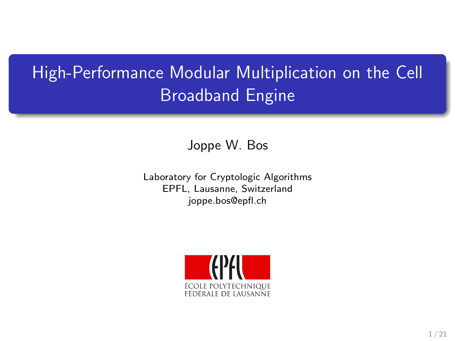# High-Performance Modular Multiplication on the Cell Broadband Engine

Joppe W. Bos

Laboratory for Cryptologic Algorithms EPFL, Lausanne, Switzerland joppe.bos@epfl.ch

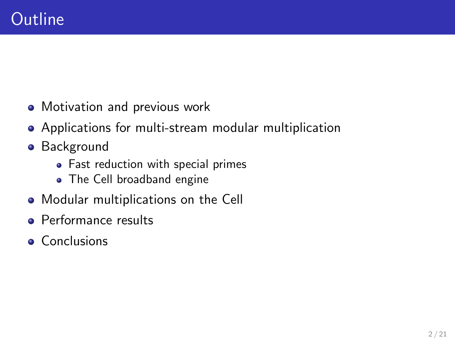- Motivation and previous work
- Applications for multi-stream modular multiplication
- **•** Background
	- Fast reduction with special primes
	- The Cell broadband engine
- Modular multiplications on the Cell
- Performance results
- **Conclusions**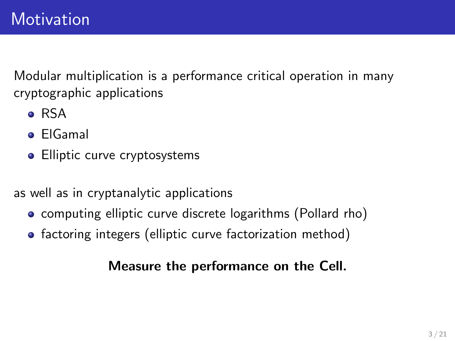Modular multiplication is a performance critical operation in many cryptographic applications

- RSA
- ElGamal
- Elliptic curve cryptosystems

as well as in cryptanalytic applications

- computing elliptic curve discrete logarithms (Pollard rho)
- factoring integers (elliptic curve factorization method)

### Measure the performance on the Cell.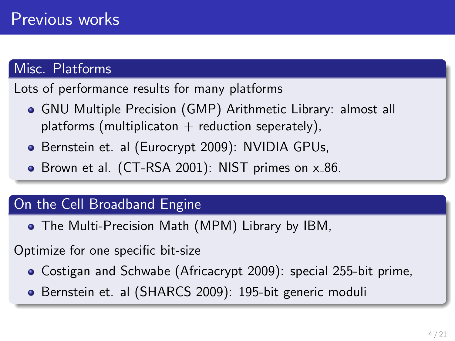### Misc. Platforms

Lots of performance results for many platforms

- GNU Multiple Precision (GMP) Arithmetic Library: almost all platforms (multiplicaton  $+$  reduction seperately),
- Bernstein et. al (Eurocrypt 2009): NVIDIA GPUs,
- $\bullet$  Brown et al. (CT-RSA 2001): NIST primes on  $\times 86$ .

### On the Cell Broadband Engine

The Multi-Precision Math (MPM) Library by IBM,

Optimize for one specific bit-size

- Costigan and Schwabe (Africacrypt 2009): special 255-bit prime,
- Bernstein et. al (SHARCS 2009): 195-bit generic moduli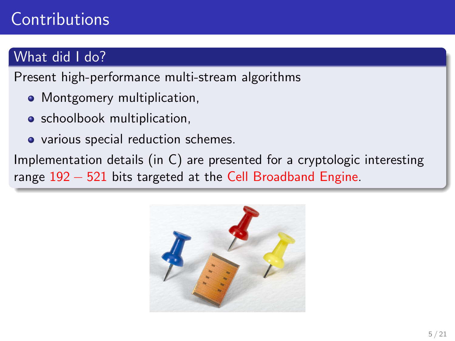# **Contributions**

### What did I do?

Present high-performance multi-stream algorithms

- Montgomery multiplication,
- **•** schoolbook multiplication,
- various special reduction schemes.

Implementation details (in C) are presented for a cryptologic interesting range 192 − 521 bits targeted at the Cell Broadband Engine.

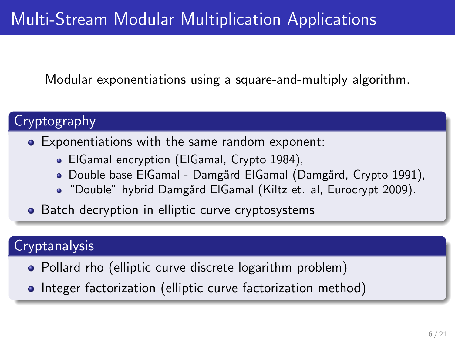# Multi-Stream Modular Multiplication Applications

Modular exponentiations using a square-and-multiply algorithm.

### Cryptography

#### Exponentiations with the same random exponent:

- ElGamal encryption (ElGamal, Crypto 1984),
- · Double base ElGamal Damgård ElGamal (Damgård, Crypto 1991),
- . "Double" hybrid Damgård ElGamal (Kiltz et. al, Eurocrypt 2009).
- Batch decryption in elliptic curve cryptosystems

### **Cryptanalysis**

- Pollard rho (elliptic curve discrete logarithm problem)
- Integer factorization (elliptic curve factorization method)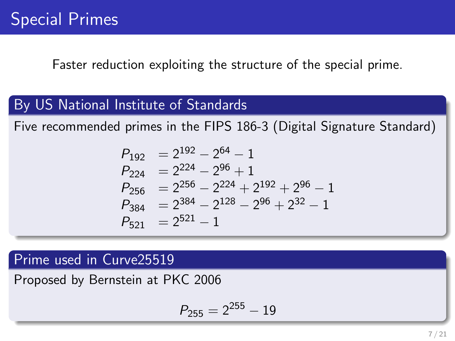Faster reduction exploiting the structure of the special prime.

### By US National Institute of Standards

Five recommended primes in the FIPS 186-3 (Digital Signature Standard)

$$
P_{192} = 2^{192} - 2^{64} - 1
$$
  
\n
$$
P_{224} = 2^{224} - 2^{96} + 1
$$
  
\n
$$
P_{256} = 2^{256} - 2^{224} + 2^{192} + 2^{96} - 1
$$
  
\n
$$
P_{384} = 2^{384} - 2^{128} - 2^{96} + 2^{32} - 1
$$
  
\n
$$
P_{521} = 2^{521} - 1
$$

### Prime used in Curve25519

Proposed by Bernstein at PKC 2006

$$
P_{255} = 2^{255} - 19
$$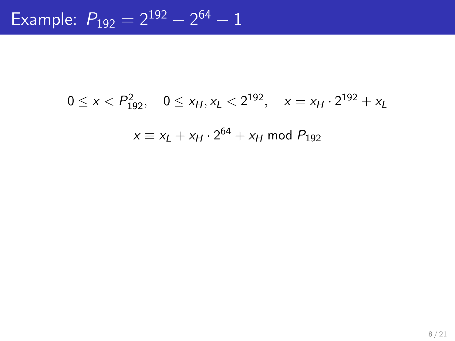# $0 \le x < P_{192}^2$ ,  $0 \le x_H, x_L < 2^{192}$ ,  $x = x_H \cdot 2^{192} + x_L$  $x \equiv x_L + x_H \cdot 2^{64} + x_H$  mod  $P_{192}$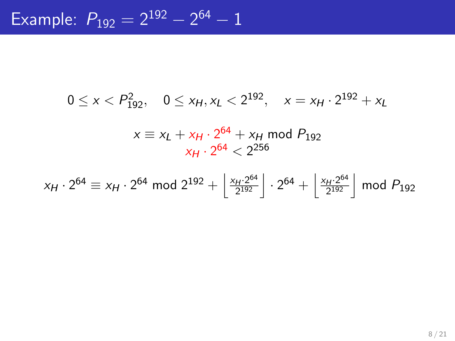$$
0 \le x < P_{192}^2, \quad 0 \le x_H, x_L < 2^{192}, \quad x = x_H \cdot 2^{192} + x_L
$$

$$
x \equiv x_L + x_H \cdot 2^{64} + x_H \mod P_{192}
$$
  

$$
x_H \cdot 2^{64} < 2^{256}
$$

$$
x_H \cdot 2^{64} \equiv x_H \cdot 2^{64} \mod 2^{192} + \left\lfloor \frac{x_H \cdot 2^{64}}{2^{192}} \right\rfloor \cdot 2^{64} + \left\lfloor \frac{x_H \cdot 2^{64}}{2^{192}} \right\rfloor \mod P_{192}
$$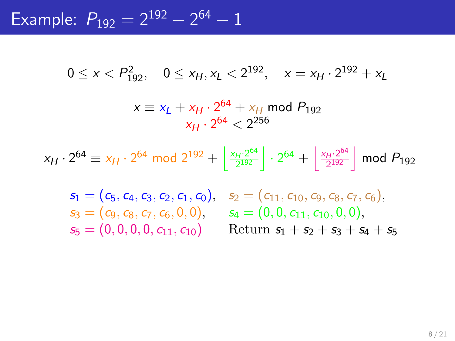Example:  $P_{192} = 2^{192} - 2^{64} - 1$ 

$$
0 \le x < P_{192}^2, \quad 0 \le x_H, x_L < 2^{192}, \quad x = x_H \cdot 2^{192} + x_L
$$
\n
$$
x \equiv x_L + x_H \cdot 2^{64} + x_H \mod P_{192}
$$
\n
$$
x_H \cdot 2^{64} < 2^{256}
$$

$$
x_H \cdot 2^{64} \equiv x_H \cdot 2^{64} \mod 2^{192} + \left\lfloor \frac{x_H \cdot 2^{64}}{2^{192}} \right\rfloor \cdot 2^{64} + \left\lfloor \frac{x_H \cdot 2^{64}}{2^{192}} \right\rfloor \mod P_{192}
$$

 $s_3 = (c_9, c_8, c_7, c_6, 0, 0),$   $s_4 = (0, 0, c_{11}, c_{10}, 0, 0),$ 

 $s_1 = (c_5, c_4, c_3, c_2, c_1, c_0), s_2 = (c_{11}, c_{10}, c_9, c_8, c_7, c_6),$  $s_5 = (0, 0, 0, 0, c_{11}, c_{10})$  Return  $s_1 + s_2 + s_3 + s_4 + s_5$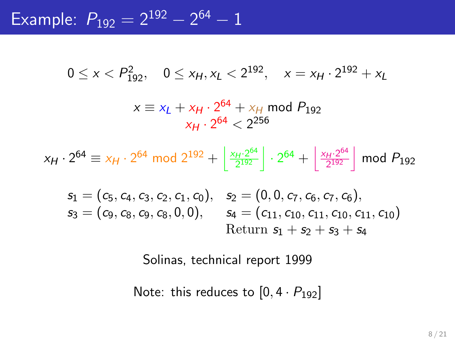Example:  $P_{192} = 2^{192} - 2^{64} - 1$ 

$$
0 \le x < P_{192}^2, \quad 0 \le x_H, x_L < 2^{192}, \quad x = x_H \cdot 2^{192} + x_L
$$
\n
$$
x \equiv x_L + x_H \cdot 2^{64} + x_H \mod P_{192}
$$
\n
$$
x_H \cdot 2^{64} < 2^{256}
$$

$$
x_H \cdot 2^{64} \equiv x_H \cdot 2^{64} \mod 2^{192} + \left\lfloor \frac{x_H \cdot 2^{64}}{2^{192}} \right\rfloor \cdot 2^{64} + \left\lfloor \frac{x_H \cdot 2^{64}}{2^{192}} \right\rfloor \mod P_{192}
$$

$$
\begin{array}{ll} s_1=(c_5,c_4,c_3,c_2,c_1,c_0), & s_2=(0,0,c_7,c_6,c_7,c_6),\\ s_3=(c_9,c_8,c_9,c_8,0,0), & s_4=(c_{11},c_{10},c_{11},c_{10},c_{11},c_{10})\\ & \text{Return } s_1+s_2+s_3+s_4\end{array}
$$

Solinas, technical report 1999

Note: this reduces to  $[0, 4 \cdot P_{192}]$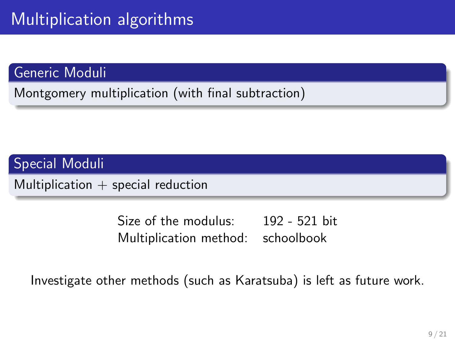### Generic Moduli

Montgomery multiplication (with final subtraction)

### Special Moduli

Multiplication  $+$  special reduction

Size of the modulus: 192 - 521 bit Multiplication method: schoolbook

Investigate other methods (such as Karatsuba) is left as future work.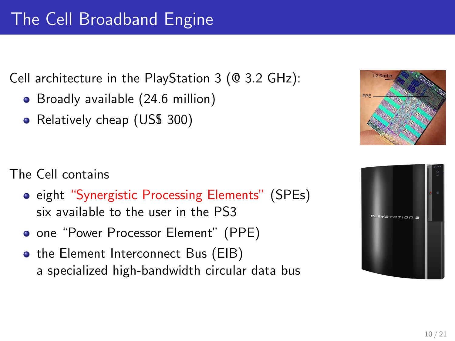Cell architecture in the PlayStation 3 (@ 3.2 GHz):

- Broadly available (24.6 million)
- Relatively cheap (US\$ 300)

- The Cell contains
	- **•** eight "Synergistic Processing Elements" (SPEs) six available to the user in the PS3
	- **one "Power Processor Element" (PPE)**
	- the Element Interconnect Bus (EIB) a specialized high-bandwidth circular data bus



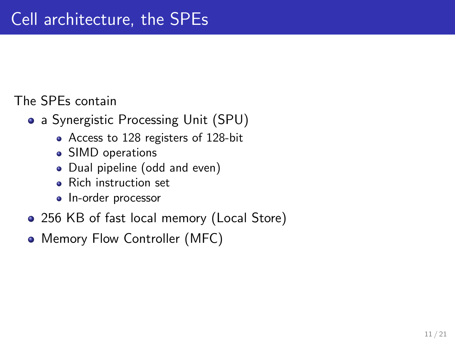### The SPEs contain

- a Synergistic Processing Unit (SPU)
	- Access to 128 registers of 128-bit
	- SIMD operations
	- Dual pipeline (odd and even)
	- Rich instruction set
	- In-order processor
- 256 KB of fast local memory (Local Store)
- Memory Flow Controller (MFC)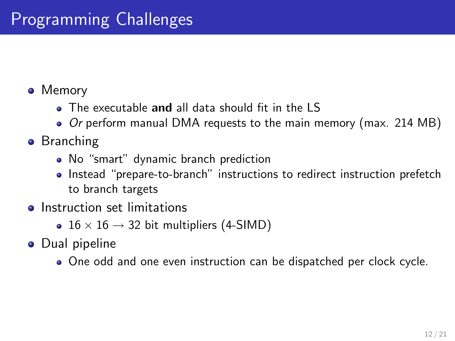- Memory
	- The executable and all data should fit in the LS
	- Or perform manual DMA requests to the main memory (max. 214 MB)
- **•** Branching
	- No "smart" dynamic branch prediction
	- Instead "prepare-to-branch" instructions to redirect instruction prefetch to branch targets
- **o** Instruction set limitations
	- 16  $\times$  16  $\rightarrow$  32 bit multipliers (4-SIMD)
- **•** Dual pipeline
	- One odd and one even instruction can be dispatched per clock cycle.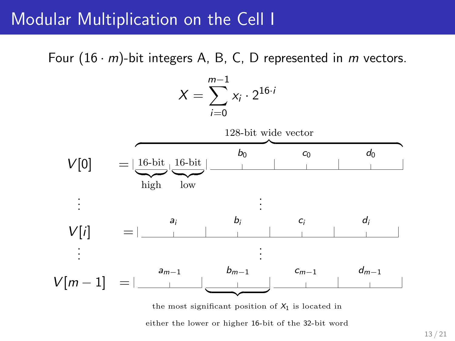### Modular Multiplication on the Cell I

Four  $(16 \cdot m)$ -bit integers A, B, C, D represented in m vectors.

$$
X = \sum_{i=0}^{m-1} x_i \cdot 2^{16 \cdot i}
$$



either the lower or higher 16-bit of the 32-bit word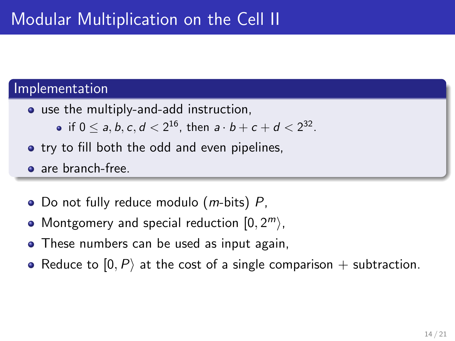#### Implementation

- use the multiply-and-add instruction,
	- if  $0 \le a,b,c,d < 2^{16}$ , then  $a\cdot b + c + d < 2^{32}$ .
- **•** try to fill both the odd and even pipelines,
- are branch-free.
- Do not fully reduce modulo  $(m\text{-bits})$  P,
- Montgomery and special reduction  $[0, 2^m \rangle$ ,
- These numbers can be used as input again,
- Reduce to  $[0, P\rangle$  at the cost of a single comparison + subtraction.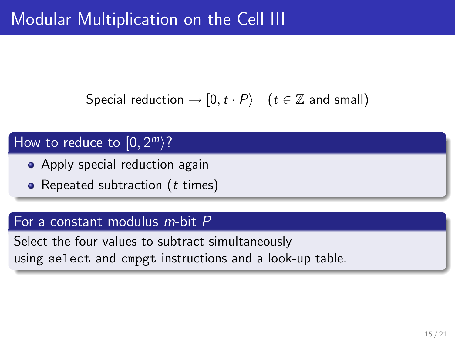## Modular Multiplication on the Cell III

Special reduction  $\rightarrow$  [0,  $t \cdot P$ } ( $t \in \mathbb{Z}$  and small)

### How to reduce to  $[0, 2<sup>m</sup>]$ ?

- Apply special reduction again
- Repeated subtraction  $(t \text{ times})$

#### For a constant modulus m-bit P

Select the four values to subtract simultaneously using select and cmpgt instructions and a look-up table.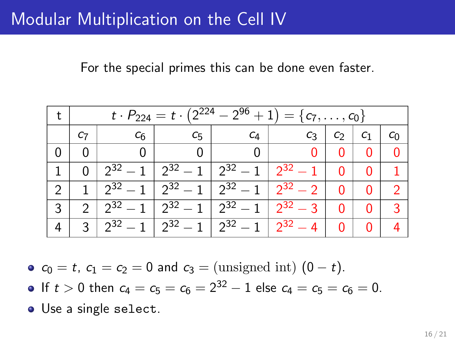### Modular Multiplication on the Cell IV

For the special primes this can be done even faster.

|   |               | $t \cdot P_{224} = t \cdot (2^{224} - 2^{96} + 1) = \{c_7, \ldots, c_0\}$ |                                                                         |                                |              |    |         |  |  |
|---|---------------|---------------------------------------------------------------------------|-------------------------------------------------------------------------|--------------------------------|--------------|----|---------|--|--|
|   | C7            | C <sub>6</sub>                                                            | C <sub>5</sub>                                                          | C4                             | $C_3$        | C7 | $c_{1}$ |  |  |
|   |               |                                                                           |                                                                         |                                |              |    | 0       |  |  |
|   |               | $2^{32}-1$                                                                |                                                                         | $\sqrt{2^{32}-1}$   $2^{32}-1$ | $2^{32}-1$   |    | 0       |  |  |
|   |               |                                                                           | $2^{32} - 1$   $2^{32} - 1$   $2^{32} - 1$                              |                                | $2^{32} - 2$ | 0  | 0       |  |  |
| 3 | $\mathcal{P}$ |                                                                           | $\sqrt{2^{32}-1}$ $\sqrt{2^{32}-1}$ $\sqrt{2^{32}-1}$ $\sqrt{2^{32}-3}$ |                                |              | U  | 0       |  |  |
|   | 3             |                                                                           | $2^{32} - 1$   $2^{32} - 1$   $2^{32} - 1$                              |                                | $2^{32} - 4$ |    | 0       |  |  |

•  $c_0 = t$ ,  $c_1 = c_2 = 0$  and  $c_3 = ($ unsigned int)  $(0 - t)$ .

- If  $t > 0$  then  $c_4 = c_5 = c_6 = 2^{32} 1$  else  $c_4 = c_5 = c_6 = 0$ .
- Use a single select.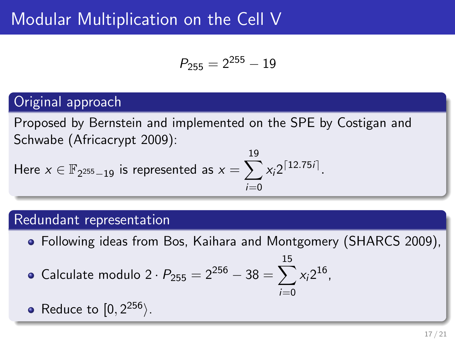### Modular Multiplication on the Cell V

$$
P_{255} = 2^{255} - 19
$$

### Original approach

Proposed by Bernstein and implemented on the SPE by Costigan and Schwabe (Africacrypt 2009):

Here 
$$
x \in \mathbb{F}_{2^{255}-19}
$$
 is represented as  $x = \sum_{i=0}^{19} x_i 2^{\lceil 12.75i \rceil}$ .

#### Redundant representation

Following ideas from Bos, Kaihara and Montgomery (SHARCS 2009),

15

• Calculate modulo 
$$
2 \cdot P_{255} = 2^{256} - 38 = \sum_{i=0}^{15} x_i 2^{16}
$$
,

• Reduce to 
$$
[0, 2^{256})
$$
.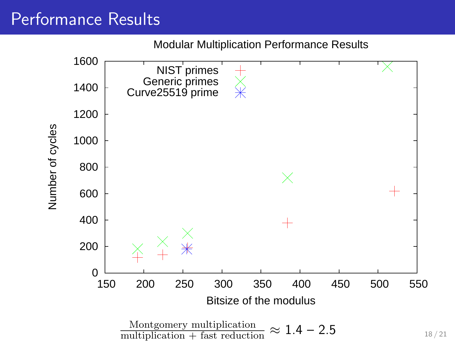## Performance Results

Modular Multiplication Performance Results

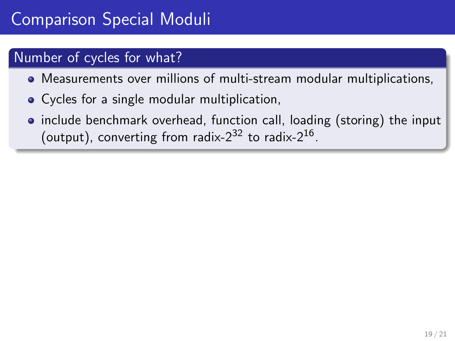# Comparison Special Moduli

### Number of cycles for what?

- Measurements over millions of multi-stream modular multiplications,
- Cycles for a single modular multiplication,
- include benchmark overhead, function call, loading (storing) the input (output), converting from radix-2<sup>32</sup> to radix-2<sup>16</sup>.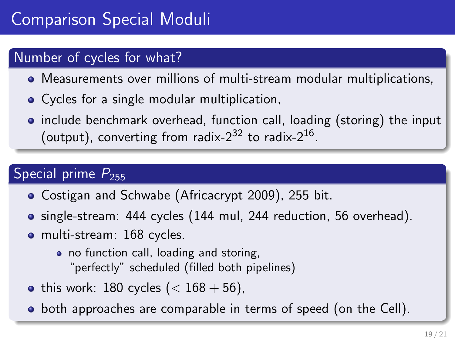# Comparison Special Moduli

### Number of cycles for what?

- Measurements over millions of multi-stream modular multiplications,
- Cycles for a single modular multiplication,
- include benchmark overhead, function call, loading (storing) the input (output), converting from radix-2<sup>32</sup> to radix-2<sup>16</sup>.

### Special prime  $P_{255}$

- Costigan and Schwabe (Africacrypt 2009), 255 bit.
- single-stream: 444 cycles (144 mul, 244 reduction, 56 overhead).
- multi-stream: 168 cycles.
	- no function call, loading and storing, "perfectly" scheduled (filled both pipelines)
- this work: 180 cycles  $(< 168 + 56)$ ,
- **•** both approaches are comparable in terms of speed (on the Cell).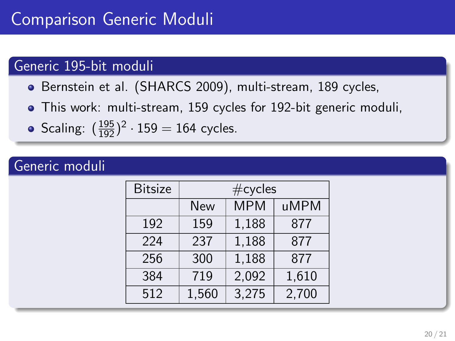### Generic 195-bit moduli

- Bernstein et al. (SHARCS 2009), multi-stream, 189 cycles,
- This work: multi-stream, 159 cycles for 192-bit generic moduli,
- Scaling:  $(\frac{195}{192})^2 \cdot 159 = 164$  cycles.

### Generic moduli

| <b>Bitsize</b> | $\#$ cycles |            |       |  |  |
|----------------|-------------|------------|-------|--|--|
|                | <b>New</b>  | <b>MPM</b> | uMPM  |  |  |
| 192            | 159         | 1,188      | 877   |  |  |
| 224            | 237         | 1,188      | 877   |  |  |
| 256            | 300         | 1,188      | 877   |  |  |
| 384            | 719         | 2,092      | 1,610 |  |  |
| 512            | 1,560       | 3,275      | 2,700 |  |  |